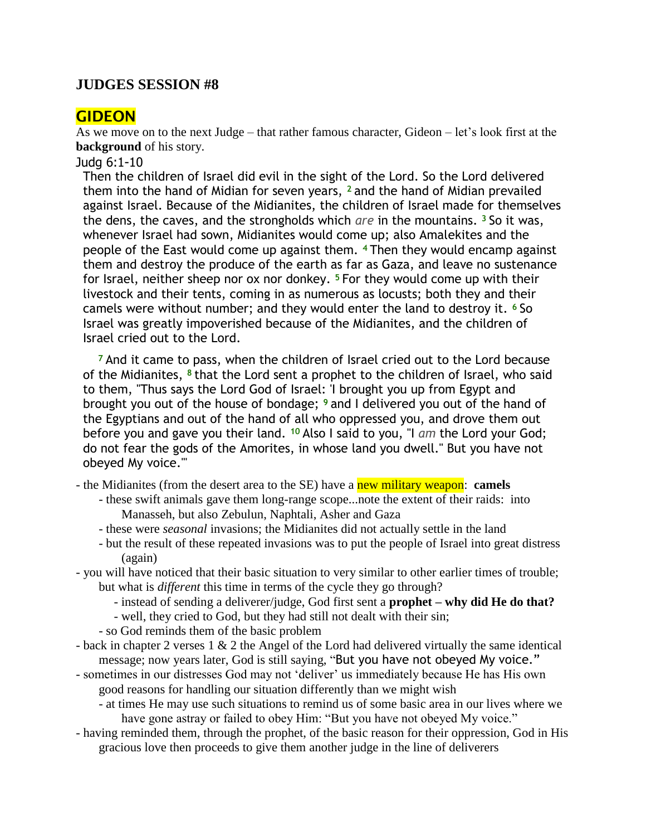## **JUDGES SESSION #8**

# **GIDEON**

As we move on to the next Judge – that rather famous character, Gideon – let's look first at the **background** of his story.

Judg 6:1-10

Then the children of Israel did evil in the sight of the Lord. So the Lord delivered them into the hand of Midian for seven years, **<sup>2</sup>** and the hand of Midian prevailed against Israel. Because of the Midianites, the children of Israel made for themselves the dens, the caves, and the strongholds which *are* in the mountains. **<sup>3</sup>** So it was, whenever Israel had sown, Midianites would come up; also Amalekites and the people of the East would come up against them. **<sup>4</sup>** Then they would encamp against them and destroy the produce of the earth as far as Gaza, and leave no sustenance for Israel, neither sheep nor ox nor donkey. **<sup>5</sup>** For they would come up with their livestock and their tents, coming in as numerous as locusts; both they and their camels were without number; and they would enter the land to destroy it. **<sup>6</sup>** So Israel was greatly impoverished because of the Midianites, and the children of Israel cried out to the Lord.

**<sup>7</sup>** And it came to pass, when the children of Israel cried out to the Lord because of the Midianites, **<sup>8</sup>** that the Lord sent a prophet to the children of Israel, who said to them, "Thus says the Lord God of Israel: 'I brought you up from Egypt and brought you out of the house of bondage; **<sup>9</sup>** and I delivered you out of the hand of the Egyptians and out of the hand of all who oppressed you, and drove them out before you and gave you their land. **<sup>10</sup>** Also I said to you, "I *am* the Lord your God; do not fear the gods of the Amorites, in whose land you dwell." But you have not obeyed My voice.'"

- the Midianites (from the desert area to the SE) have a new military weapon: **camels**

- these swift animals gave them long-range scope...note the extent of their raids: into Manasseh, but also Zebulun, Naphtali, Asher and Gaza
- these were *seasonal* invasions; the Midianites did not actually settle in the land
- but the result of these repeated invasions was to put the people of Israel into great distress (again)
- you will have noticed that their basic situation to very similar to other earlier times of trouble; but what is *different* this time in terms of the cycle they go through?
	- instead of sending a deliverer/judge, God first sent a **prophet – why did He do that?**
	- well, they cried to God, but they had still not dealt with their sin;
	- so God reminds them of the basic problem
- back in chapter 2 verses 1 & 2 the Angel of the Lord had delivered virtually the same identical message; now years later, God is still saying, "But you have not obeyed My voice."
- sometimes in our distresses God may not "deliver" us immediately because He has His own good reasons for handling our situation differently than we might wish
	- at times He may use such situations to remind us of some basic area in our lives where we have gone astray or failed to obey Him: "But you have not obeyed My voice."
- having reminded them, through the prophet, of the basic reason for their oppression, God in His gracious love then proceeds to give them another judge in the line of deliverers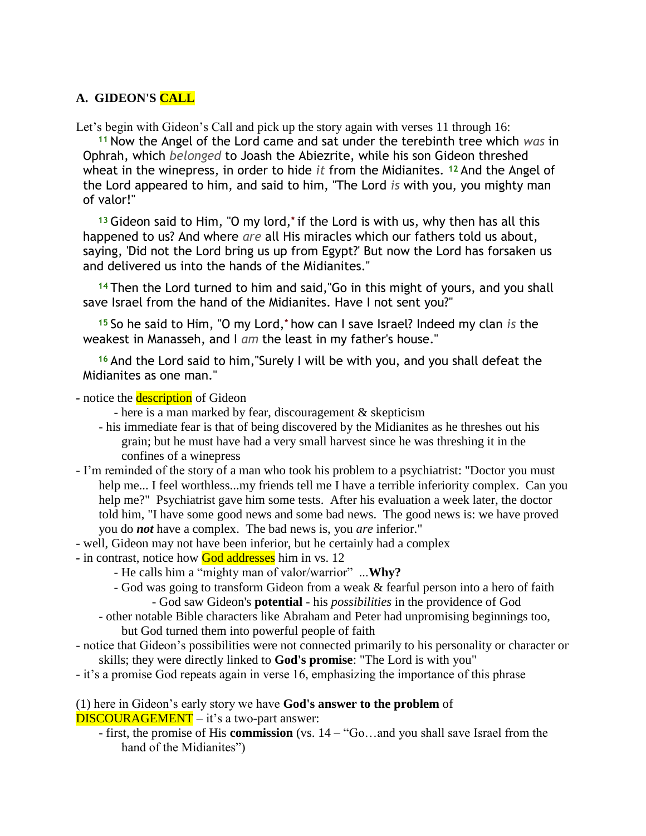### **A. GIDEON'S CALL**

Let's begin with Gideon's Call and pick up the story again with verses 11 through 16:

**<sup>11</sup>** Now the Angel of the Lord came and sat under the terebinth tree which *was* in Ophrah, which *belonged* to Joash the Abiezrite, while his son Gideon threshed wheat in the winepress, in order to hide *it* from the Midianites. **<sup>12</sup>** And the Angel of the Lord appeared to him, and said to him, "The Lord *is* with you, you mighty man of valor!"

**<sup>13</sup>** Gideon said to Him, "O my lord,**\*** if the Lord is with us, why then has all this happened to us? And where *are* all His miracles which our fathers told us about, saying, 'Did not the Lord bring us up from Egypt?' But now the Lord has forsaken us and delivered us into the hands of the Midianites."

**<sup>14</sup>** Then the Lord turned to him and said,"Go in this might of yours, and you shall save Israel from the hand of the Midianites. Have I not sent you?"

**<sup>15</sup>** So he said to Him, "O my Lord,**\*** how can I save Israel? Indeed my clan *is* the weakest in Manasseh, and I *am* the least in my father's house."

**<sup>16</sup>** And the Lord said to him,"Surely I will be with you, and you shall defeat the Midianites as one man."

- *-* notice the description of Gideon
	- here is a man marked by fear, discouragement  $&$  skepticism
	- his immediate fear is that of being discovered by the Midianites as he threshes out his grain; but he must have had a very small harvest since he was threshing it in the confines of a winepress
- I"m reminded of the story of a man who took his problem to a psychiatrist: "Doctor you must help me... I feel worthless...my friends tell me I have a terrible inferiority complex. Can you help me?" Psychiatrist gave him some tests. After his evaluation a week later, the doctor told him, "I have some good news and some bad news. The good news is: we have proved you do *not* have a complex. The bad news is, you *are* inferior."
- well, Gideon may not have been inferior, but he certainly had a complex
- *-* in contrast, notice how God addresses him in vs. 12
	- He calls him a "mighty man of valor/warrior" ...**Why?**
	- God was going to transform Gideon from a weak & fearful person into a hero of faith - God saw Gideon's **potential** - his *possibilities* in the providence of God
	- other notable Bible characters like Abraham and Peter had unpromising beginnings too, but God turned them into powerful people of faith
- notice that Gideon"s possibilities were not connected primarily to his personality or character or skills; they were directly linked to **God's promise**: "The Lord is with you"
- it"s a promise God repeats again in verse 16, emphasizing the importance of this phrase

#### (1) here in Gideon"s early story we have **God's answer to the problem** of DISCOURAGEMENT – it's a two-part answer:

- first, the promise of His **commission** (vs. 14 – "Go…and you shall save Israel from the hand of the Midianites")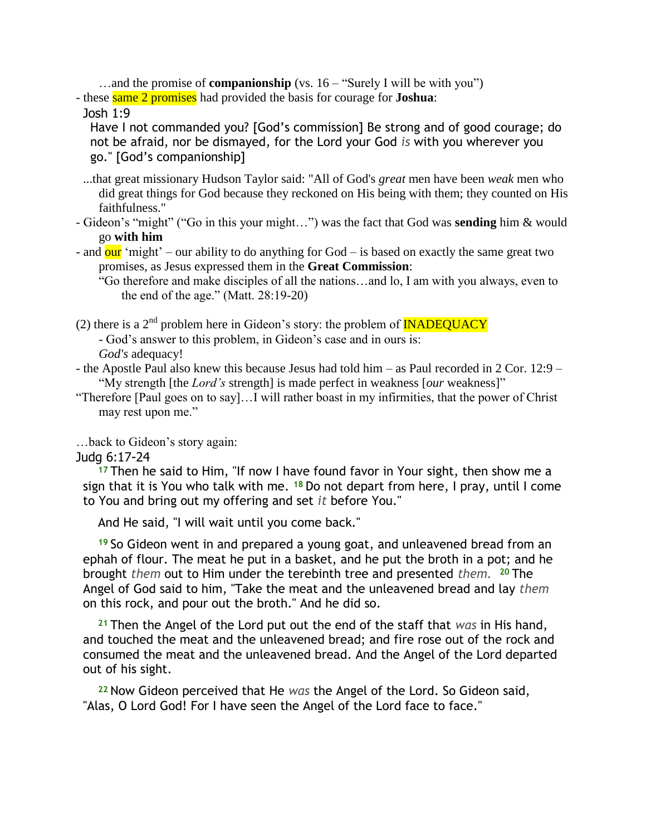...and the promise of **companionship** (vs. 16 – "Surely I will be with you")

- these same 2 promises had provided the basis for courage for **Joshua**:

Josh 1:9

Have I not commanded you? [God's commission] Be strong and of good courage; do not be afraid, nor be dismayed, for the Lord your God *is* with you wherever you go." [God's companionship]

- ...that great missionary Hudson Taylor said: "All of God's *great* men have been *weak* men who did great things for God because they reckoned on His being with them; they counted on His faithfulness."
- Gideon"s "might" ("Go in this your might…") was the fact that God was **sending** him & would go **with him**
- and  $\frac{\partial u}{\partial r}$  "might" our ability to do anything for God is based on exactly the same great two promises, as Jesus expressed them in the **Great Commission**:

"Go therefore and make disciples of all the nations…and lo, I am with you always, even to the end of the age." (Matt. 28:19-20)

(2) there is a  $2<sup>nd</sup>$  problem here in Gideon's story: the problem of **INADEQUACY** - God"s answer to this problem, in Gideon"s case and in ours is:

*God's* adequacy!

- the Apostle Paul also knew this because Jesus had told him – as Paul recorded in 2 Cor. 12:9 – "My strength [the *Lord's* strength] is made perfect in weakness [*our* weakness]"

"Therefore [Paul goes on to say]…I will rather boast in my infirmities, that the power of Christ may rest upon me."

…back to Gideon"s story again:

Judg 6:17-24

**<sup>17</sup>** Then he said to Him, "If now I have found favor in Your sight, then show me a sign that it is You who talk with me. **<sup>18</sup>** Do not depart from here, I pray, until I come to You and bring out my offering and set *it* before You."

And He said, "I will wait until you come back."

**<sup>19</sup>** So Gideon went in and prepared a young goat, and unleavened bread from an ephah of flour. The meat he put in a basket, and he put the broth in a pot; and he brought *them* out to Him under the terebinth tree and presented *them.* **<sup>20</sup>** The Angel of God said to him, "Take the meat and the unleavened bread and lay *them*  on this rock, and pour out the broth." And he did so.

**<sup>21</sup>** Then the Angel of the Lord put out the end of the staff that *was* in His hand, and touched the meat and the unleavened bread; and fire rose out of the rock and consumed the meat and the unleavened bread. And the Angel of the Lord departed out of his sight.

**<sup>22</sup>** Now Gideon perceived that He *was* the Angel of the Lord. So Gideon said, "Alas, O Lord God! For I have seen the Angel of the Lord face to face."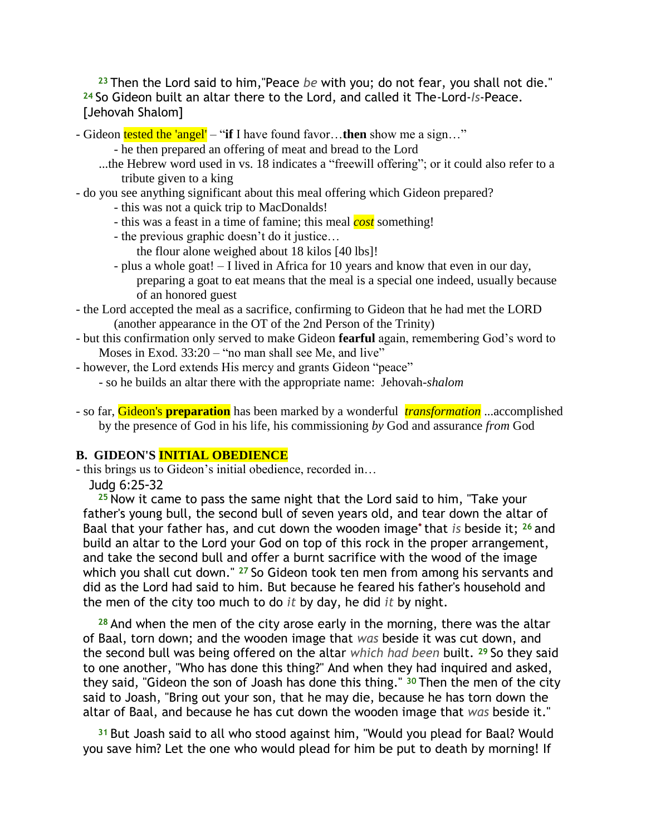**<sup>23</sup>** Then the Lord said to him,"Peace *be* with you; do not fear, you shall not die." **<sup>24</sup>** So Gideon built an altar there to the Lord, and called it The-Lord-*Is*-Peace. [Jehovah Shalom]

- Gideon tested the 'angel' "**if** I have found favor…**then** show me a sign…"
	- he then prepared an offering of meat and bread to the Lord
	- ...the Hebrew word used in vs. 18 indicates a "freewill offering"; or it could also refer to a tribute given to a king
- do you see anything significant about this meal offering which Gideon prepared?
	- this was not a quick trip to MacDonalds!
	- this was a feast in a time of famine; this meal *cost* something!
	- the previous graphic doesn't do it justice...
		- the flour alone weighed about 18 kilos [40 lbs]!
	- plus a whole goat! I lived in Africa for 10 years and know that even in our day, preparing a goat to eat means that the meal is a special one indeed, usually because of an honored guest
- the Lord accepted the meal as a sacrifice, confirming to Gideon that he had met the LORD (another appearance in the OT of the 2nd Person of the Trinity)
- but this confirmation only served to make Gideon **fearful** again, remembering God"s word to Moses in Exod. 33:20 – "no man shall see Me, and live"
- however, the Lord extends His mercy and grants Gideon "peace"
	- so he builds an altar there with the appropriate name: Jehovah-*shalom*
- so far, Gideon's **preparation** has been marked by a wonderful *transformation* ...accomplished by the presence of God in his life, his commissioning *by* God and assurance *from* God

### **B. GIDEON'S INITIAL OBEDIENCE**

- this brings us to Gideon"s initial obedience, recorded in…
	- Judg 6:25-32

**<sup>25</sup>** Now it came to pass the same night that the Lord said to him, "Take your father's young bull, the second bull of seven years old, and tear down the altar of Baal that your father has, and cut down the wooden image**\*** that *is* beside it; **<sup>26</sup>** and build an altar to the Lord your God on top of this rock in the proper arrangement, and take the second bull and offer a burnt sacrifice with the wood of the image which you shall cut down." **<sup>27</sup>** So Gideon took ten men from among his servants and did as the Lord had said to him. But because he feared his father's household and the men of the city too much to do *it* by day, he did *it* by night.

**<sup>28</sup>** And when the men of the city arose early in the morning, there was the altar of Baal, torn down; and the wooden image that *was* beside it was cut down, and the second bull was being offered on the altar *which had been* built. **<sup>29</sup>** So they said to one another, "Who has done this thing?" And when they had inquired and asked, they said, "Gideon the son of Joash has done this thing." **<sup>30</sup>** Then the men of the city said to Joash, "Bring out your son, that he may die, because he has torn down the altar of Baal, and because he has cut down the wooden image that *was* beside it."

**<sup>31</sup>** But Joash said to all who stood against him, "Would you plead for Baal? Would you save him? Let the one who would plead for him be put to death by morning! If